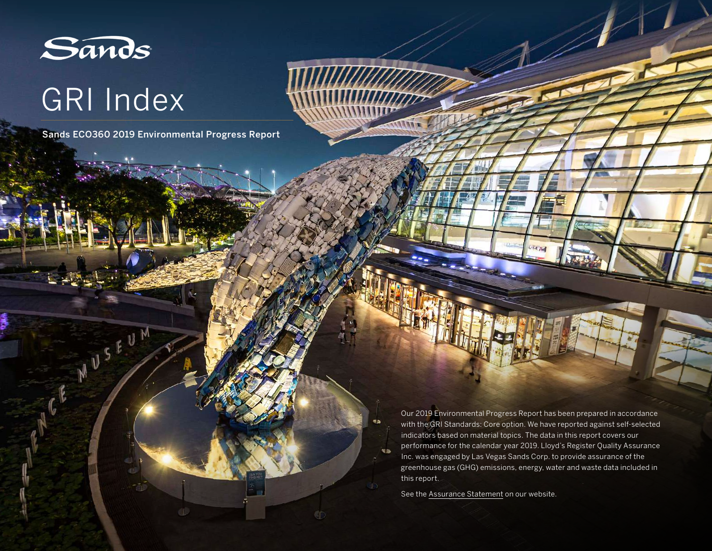

CE MUSEUM

# GRI Index

Sands ECO360 2019 Environmental Progress Report

Our 2019 Environmental Progress Report has been prepared in accordance with the GRI Standards: Core option. We have reported against self-selected indicators based on material topics. The data in this report covers our performance for the calendar year 2019. Lloyd's Register Quality Assurance Inc. was engaged by Las Vegas Sands Corp. to provide assurance of the greenhouse gas (GHG) emissions, energy, water and waste data included in this report.

See the [Assurance Statement](https://www.sands.com/content/dam/corporate/sands/master/main/home/sands-eco-360/our-news/pdfs/2019-assurance-statement.pdf) on our website.

**KD** 

 $43$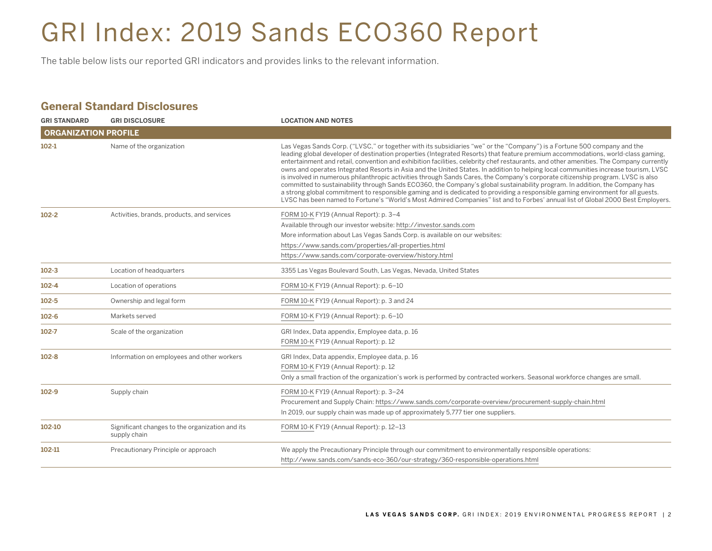# GRI Index: 2019 Sands ECO360 Report

The table below lists our reported GRI indicators and provides links to the relevant information.

#### **General Standard Disclosures**

| <b>GRI STANDARD</b>         | <b>GRI DISCLOSURE</b>                                           | <b>LOCATION AND NOTES</b>                                                                                                                                                                                                                                                                                                                                                                                                                                                                                                                                                                                                                                                                                                                                                                                                                                                                                                                                                                                                                                                              |
|-----------------------------|-----------------------------------------------------------------|----------------------------------------------------------------------------------------------------------------------------------------------------------------------------------------------------------------------------------------------------------------------------------------------------------------------------------------------------------------------------------------------------------------------------------------------------------------------------------------------------------------------------------------------------------------------------------------------------------------------------------------------------------------------------------------------------------------------------------------------------------------------------------------------------------------------------------------------------------------------------------------------------------------------------------------------------------------------------------------------------------------------------------------------------------------------------------------|
| <b>ORGANIZATION PROFILE</b> |                                                                 |                                                                                                                                                                                                                                                                                                                                                                                                                                                                                                                                                                                                                                                                                                                                                                                                                                                                                                                                                                                                                                                                                        |
| $102-1$                     | Name of the organization                                        | Las Vegas Sands Corp. ("LVSC," or together with its subsidiaries "we" or the "Company") is a Fortune 500 company and the<br>leading global developer of destination properties (Integrated Resorts) that feature premium accommodations, world-class gaming,<br>entertainment and retail, convention and exhibition facilities, celebrity chef restaurants, and other amenities. The Company currently<br>owns and operates Integrated Resorts in Asia and the United States. In addition to helping local communities increase tourism, LVSC<br>is involved in numerous philanthropic activities through Sands Cares, the Company's corporate citizenship program. LVSC is also<br>committed to sustainability through Sands ECO360, the Company's global sustainability program. In addition, the Company has<br>a strong global commitment to responsible gaming and is dedicated to providing a responsible gaming environment for all guests.<br>LVSC has been named to Fortune's "World's Most Admired Companies" list and to Forbes' annual list of Global 2000 Best Employers. |
| $102 - 2$                   | Activities, brands, products, and services                      | FORM 10-K FY19 (Annual Report): p. 3-4<br>Available through our investor website: http://investor.sands.com<br>More information about Las Vegas Sands Corp. is available on our websites:<br>https://www.sands.com/properties/all-properties.html<br>https://www.sands.com/corporate-overview/history.html                                                                                                                                                                                                                                                                                                                                                                                                                                                                                                                                                                                                                                                                                                                                                                             |
| $102 - 3$                   | Location of headquarters                                        | 3355 Las Vegas Boulevard South, Las Vegas, Nevada, United States                                                                                                                                                                                                                                                                                                                                                                                                                                                                                                                                                                                                                                                                                                                                                                                                                                                                                                                                                                                                                       |
| $102 - 4$                   | Location of operations                                          | FORM 10-K FY19 (Annual Report): p. 6-10                                                                                                                                                                                                                                                                                                                                                                                                                                                                                                                                                                                                                                                                                                                                                                                                                                                                                                                                                                                                                                                |
| $102 - 5$                   | Ownership and legal form                                        | FORM 10-K FY19 (Annual Report): p. 3 and 24                                                                                                                                                                                                                                                                                                                                                                                                                                                                                                                                                                                                                                                                                                                                                                                                                                                                                                                                                                                                                                            |
| $102 - 6$                   | Markets served                                                  | FORM 10-K FY19 (Annual Report): p. 6-10                                                                                                                                                                                                                                                                                                                                                                                                                                                                                                                                                                                                                                                                                                                                                                                                                                                                                                                                                                                                                                                |
| $102 - 7$                   | Scale of the organization                                       | GRI Index, Data appendix, Employee data, p. 16<br>FORM 10-K FY19 (Annual Report): p. 12                                                                                                                                                                                                                                                                                                                                                                                                                                                                                                                                                                                                                                                                                                                                                                                                                                                                                                                                                                                                |
| $102 - 8$                   | Information on employees and other workers                      | GRI Index, Data appendix, Employee data, p. 16<br>FORM 10-K FY19 (Annual Report): p. 12<br>Only a small fraction of the organization's work is performed by contracted workers. Seasonal workforce changes are small.                                                                                                                                                                                                                                                                                                                                                                                                                                                                                                                                                                                                                                                                                                                                                                                                                                                                  |
| $102 - 9$                   | Supply chain                                                    | FORM 10-K FY19 (Annual Report): p. 3-24<br>Procurement and Supply Chain: https://www.sands.com/corporate-overview/procurement-supply-chain.html<br>In 2019, our supply chain was made up of approximately 5,777 tier one suppliers.                                                                                                                                                                                                                                                                                                                                                                                                                                                                                                                                                                                                                                                                                                                                                                                                                                                    |
| 102-10                      | Significant changes to the organization and its<br>supply chain | FORM 10-K FY19 (Annual Report): p. 12-13                                                                                                                                                                                                                                                                                                                                                                                                                                                                                                                                                                                                                                                                                                                                                                                                                                                                                                                                                                                                                                               |
| 102-11                      | Precautionary Principle or approach                             | We apply the Precautionary Principle through our commitment to environmentally responsible operations:<br>http://www.sands.com/sands-eco-360/our-strategy/360-responsible-operations.html                                                                                                                                                                                                                                                                                                                                                                                                                                                                                                                                                                                                                                                                                                                                                                                                                                                                                              |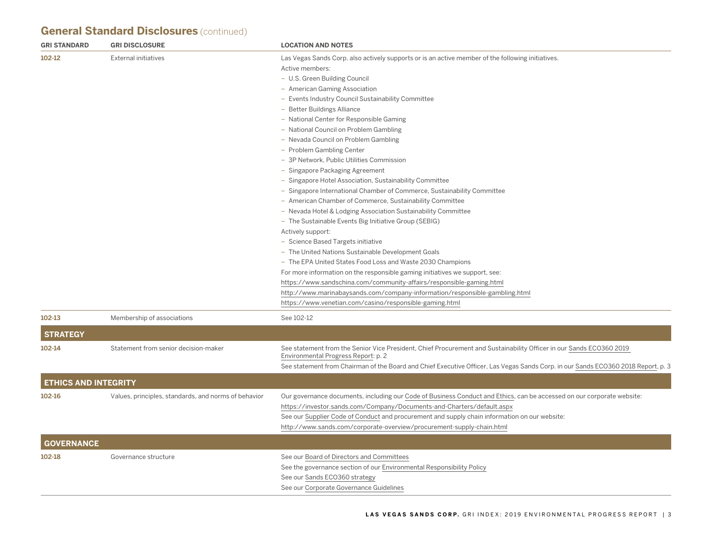# **General Standard Disclosures** (continued)

| <b>GRI STANDARD</b>         | <b>GRI DISCLOSURE</b>                                | <b>LOCATION AND NOTES</b>                                                                                                                                                                                                                                                                                                                                                                                                                                                                                                                                                                                                                                                                                                                                                                                                                                                                                                                                                                                                                                                                                                                                                                                                                                                                                                          |
|-----------------------------|------------------------------------------------------|------------------------------------------------------------------------------------------------------------------------------------------------------------------------------------------------------------------------------------------------------------------------------------------------------------------------------------------------------------------------------------------------------------------------------------------------------------------------------------------------------------------------------------------------------------------------------------------------------------------------------------------------------------------------------------------------------------------------------------------------------------------------------------------------------------------------------------------------------------------------------------------------------------------------------------------------------------------------------------------------------------------------------------------------------------------------------------------------------------------------------------------------------------------------------------------------------------------------------------------------------------------------------------------------------------------------------------|
| 102-12                      | <b>External initiatives</b>                          | Las Vegas Sands Corp. also actively supports or is an active member of the following initiatives.<br>Active members:<br>- U.S. Green Building Council<br>- American Gaming Association<br>- Events Industry Council Sustainability Committee<br>- Better Buildings Alliance<br>- National Center for Responsible Gaming<br>- National Council on Problem Gambling<br>- Nevada Council on Problem Gambling<br>- Problem Gambling Center<br>- 3P Network, Public Utilities Commission<br>- Singapore Packaging Agreement<br>- Singapore Hotel Association, Sustainability Committee<br>- Singapore International Chamber of Commerce, Sustainability Committee<br>- American Chamber of Commerce, Sustainability Committee<br>- Nevada Hotel & Lodging Association Sustainability Committee<br>- The Sustainable Events Big Initiative Group (SEBIG)<br>Actively support:<br>- Science Based Targets initiative<br>- The United Nations Sustainable Development Goals<br>- The EPA United States Food Loss and Waste 2030 Champions<br>For more information on the responsible gaming initiatives we support, see:<br>https://www.sandschina.com/community-affairs/responsible-gaming.html<br>http://www.marinabaysands.com/company-information/responsible-gambling.html<br>https://www.venetian.com/casino/responsible-gaming.html |
| 102-13                      | Membership of associations                           | See 102-12                                                                                                                                                                                                                                                                                                                                                                                                                                                                                                                                                                                                                                                                                                                                                                                                                                                                                                                                                                                                                                                                                                                                                                                                                                                                                                                         |
|                             |                                                      |                                                                                                                                                                                                                                                                                                                                                                                                                                                                                                                                                                                                                                                                                                                                                                                                                                                                                                                                                                                                                                                                                                                                                                                                                                                                                                                                    |
| <b>STRATEGY</b>             |                                                      |                                                                                                                                                                                                                                                                                                                                                                                                                                                                                                                                                                                                                                                                                                                                                                                                                                                                                                                                                                                                                                                                                                                                                                                                                                                                                                                                    |
| 102-14                      | Statement from senior decision-maker                 | See statement from the Senior Vice President, Chief Procurement and Sustainability Officer in our Sands ECO360 2019<br>Environmental Progress Report: p. 2<br>See statement from Chairman of the Board and Chief Executive Officer, Las Vegas Sands Corp. in our Sands ECO360 2018 Report, p. 3                                                                                                                                                                                                                                                                                                                                                                                                                                                                                                                                                                                                                                                                                                                                                                                                                                                                                                                                                                                                                                    |
| <b>ETHICS AND INTEGRITY</b> |                                                      |                                                                                                                                                                                                                                                                                                                                                                                                                                                                                                                                                                                                                                                                                                                                                                                                                                                                                                                                                                                                                                                                                                                                                                                                                                                                                                                                    |
| 102-16                      | Values, principles, standards, and norms of behavior | Our governance documents, including our Code of Business Conduct and Ethics, can be accessed on our corporate website:<br>https://investor.sands.com/Company/Documents-and-Charters/default.aspx<br>See our Supplier Code of Conduct and procurement and supply chain information on our website:<br>http://www.sands.com/corporate-overview/procurement-supply-chain.html                                                                                                                                                                                                                                                                                                                                                                                                                                                                                                                                                                                                                                                                                                                                                                                                                                                                                                                                                         |
| <b>GOVERNANCE</b>           |                                                      |                                                                                                                                                                                                                                                                                                                                                                                                                                                                                                                                                                                                                                                                                                                                                                                                                                                                                                                                                                                                                                                                                                                                                                                                                                                                                                                                    |
| 102-18                      | Governance structure                                 | See our Board of Directors and Committees<br>See the governance section of our Environmental Responsibility Policy<br>See our Sands ECO360 strategy<br>See our Corporate Governance Guidelines                                                                                                                                                                                                                                                                                                                                                                                                                                                                                                                                                                                                                                                                                                                                                                                                                                                                                                                                                                                                                                                                                                                                     |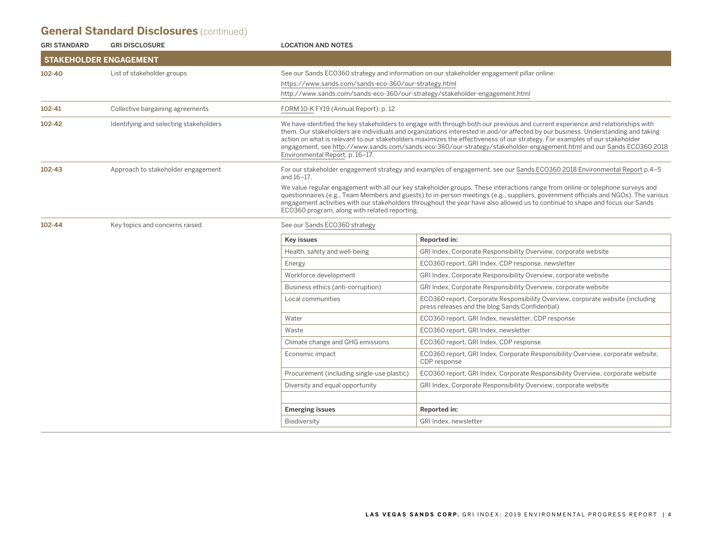# **General Standard Disclosures** (continued)

| <b>GRI STANDARD</b> | <b>GRI DISCLOSURE</b>                  | <b>LOCATION AND NOTES</b>                                                   |                                                                                                                                                                                                                                                                                                                                                                                                                                                                                                                            |
|---------------------|----------------------------------------|-----------------------------------------------------------------------------|----------------------------------------------------------------------------------------------------------------------------------------------------------------------------------------------------------------------------------------------------------------------------------------------------------------------------------------------------------------------------------------------------------------------------------------------------------------------------------------------------------------------------|
|                     | <b>STAKEHOLDER ENGAGEMENT</b>          |                                                                             |                                                                                                                                                                                                                                                                                                                                                                                                                                                                                                                            |
| 102-40              | List of stakeholder groups             |                                                                             | See our Sands ECO360 strategy and information on our stakeholder engagement pillar online:                                                                                                                                                                                                                                                                                                                                                                                                                                 |
|                     |                                        | https://www.sands.com/sands-eco-360/our-strategy.html                       |                                                                                                                                                                                                                                                                                                                                                                                                                                                                                                                            |
|                     |                                        | http://www.sands.com/sands-eco-360/our-strategy/stakeholder-engagement.html |                                                                                                                                                                                                                                                                                                                                                                                                                                                                                                                            |
| 102-41              | Collective bargaining agreements       | FORM 10-K FY19 (Annual Report): p. 12                                       |                                                                                                                                                                                                                                                                                                                                                                                                                                                                                                                            |
| 102-42              | Identifying and selecting stakeholders | Environmental Report, p. 16-17.                                             | We have identified the key stakeholders to engage with through both our previous and current experience and relationships with<br>them. Our stakeholders are individuals and organizations interested in and/or affected by our business. Understanding and taking<br>action on what is relevant to our stakeholders maximizes the effectiveness of our strategy. For examples of our stakeholder<br>engagement, see http://www.sands.com/sands-eco-360/our-strategy/stakeholder-engagement.html and our Sands ECO360 2018 |
| 102-43              | Approach to stakeholder engagement     | and 16-17.                                                                  | For our stakeholder engagement strategy and examples of engagement, see our Sands ECO360 2018 Environmental Report p.4-5                                                                                                                                                                                                                                                                                                                                                                                                   |
|                     |                                        | ECO360 program, along with related reporting.                               | We value regular engagement with all our key stakeholder groups. These interactions range from online or telephone surveys and<br>questionnaires (e.g., Team Members and guests) to in-person meetings (e.g., suppliers, government officials and NGOs). The various<br>engagement activities with our stakeholders throughout the year have also allowed us to continue to shape and focus our Sands                                                                                                                      |
| 102-44              | Key topics and concerns raised         | See our Sands ECO360 strategy                                               |                                                                                                                                                                                                                                                                                                                                                                                                                                                                                                                            |
|                     |                                        | <b>Key issues</b>                                                           | <b>Reported in:</b>                                                                                                                                                                                                                                                                                                                                                                                                                                                                                                        |
|                     |                                        | Health, safety and well-being                                               | GRI Index, Corporate Responsibility Overview, corporate website                                                                                                                                                                                                                                                                                                                                                                                                                                                            |
|                     |                                        | Energy                                                                      | ECO360 report, GRI Index, CDP response, newsletter                                                                                                                                                                                                                                                                                                                                                                                                                                                                         |
|                     |                                        | Workforce development                                                       | GRI Index, Corporate Responsibility Overview, corporate website                                                                                                                                                                                                                                                                                                                                                                                                                                                            |
|                     |                                        | Business ethics (anti-corruption)                                           | GRI Index, Corporate Responsibility Overview, corporate website                                                                                                                                                                                                                                                                                                                                                                                                                                                            |
|                     |                                        | Local communities                                                           | ECO360 report, Corporate Responsibility Overview, corporate website (including<br>press releases and the blog Sands Confidential)                                                                                                                                                                                                                                                                                                                                                                                          |
|                     |                                        | Water                                                                       | ECO360 report, GRI Index, newsletter, CDP response                                                                                                                                                                                                                                                                                                                                                                                                                                                                         |
|                     |                                        | Waste                                                                       | ECO360 report, GRI Index, newsletter                                                                                                                                                                                                                                                                                                                                                                                                                                                                                       |
|                     |                                        | Climate change and GHG emissions                                            | ECO360 report, GRI Index, CDP response                                                                                                                                                                                                                                                                                                                                                                                                                                                                                     |
|                     |                                        | Economic impact                                                             | ECO360 report, GRI Index, Corporate Responsibility Overview, corporate website,<br>CDP response                                                                                                                                                                                                                                                                                                                                                                                                                            |
|                     |                                        | Procurement (including single-use plastic)                                  | ECO360 report, GRI Index, Corporate Responsibility Overview, corporate website                                                                                                                                                                                                                                                                                                                                                                                                                                             |
|                     |                                        | Diversity and equal opportunity                                             | GRI Index, Corporate Responsibility Overview, corporate website                                                                                                                                                                                                                                                                                                                                                                                                                                                            |
|                     |                                        |                                                                             |                                                                                                                                                                                                                                                                                                                                                                                                                                                                                                                            |
|                     |                                        | <b>Emerging issues</b>                                                      | <b>Reported in:</b>                                                                                                                                                                                                                                                                                                                                                                                                                                                                                                        |
|                     |                                        | Biodiversity                                                                | GRI Index, newsletter                                                                                                                                                                                                                                                                                                                                                                                                                                                                                                      |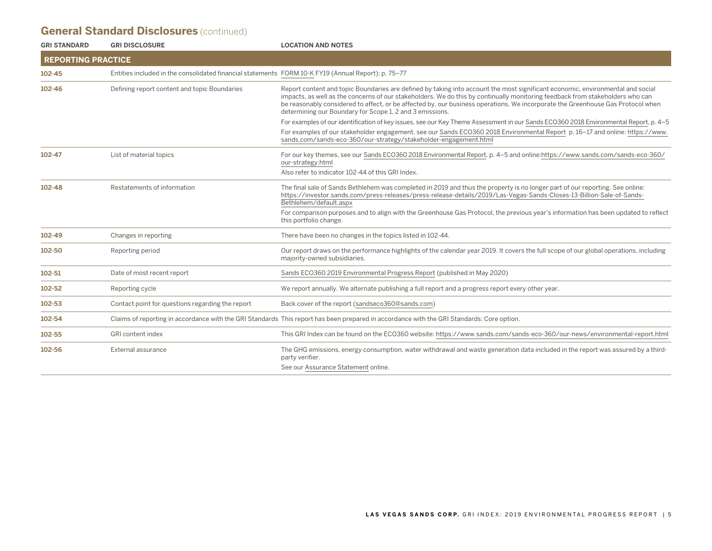# **General Standard Disclosures** (continued)

| <b>GRI STANDARD</b>       | <b>GRI DISCLOSURE</b>                                                                               | <b>LOCATION AND NOTES</b>                                                                                                                                                                                                                                                                                                                                                                                                                                      |
|---------------------------|-----------------------------------------------------------------------------------------------------|----------------------------------------------------------------------------------------------------------------------------------------------------------------------------------------------------------------------------------------------------------------------------------------------------------------------------------------------------------------------------------------------------------------------------------------------------------------|
| <b>REPORTING PRACTICE</b> |                                                                                                     |                                                                                                                                                                                                                                                                                                                                                                                                                                                                |
| $102 - 45$                | Entities included in the consolidated financial statements FORM 10-K FY19 (Annual Report): p. 75-77 |                                                                                                                                                                                                                                                                                                                                                                                                                                                                |
| $102 - 46$                | Defining report content and topic Boundaries                                                        | Report content and topic Boundaries are defined by taking into account the most significant economic, environmental and social<br>impacts, as well as the concerns of our stakeholders. We do this by continually monitoring feedback from stakeholders who can<br>be reasonably considered to affect, or be affected by, our business operations. We incorporate the Greenhouse Gas Protocol when<br>determining our Boundary for Scope 1, 2 and 3 emissions. |
|                           |                                                                                                     | For examples of our identification of key issues, see our Key Theme Assessment in our Sands ECO360 2018 Environmental Report, p. 4-5                                                                                                                                                                                                                                                                                                                           |
|                           |                                                                                                     | For examples of our stakeholder engagement, see our Sands ECO360 2018 Environmental Report p. 16–17 and online: https://www.<br>sands.com/sands-eco-360/our-strategy/stakeholder-engagement.html                                                                                                                                                                                                                                                               |
| 102-47                    | List of material topics                                                                             | For our key themes, see our Sands ECO360 2018 Environmental Report, p. 4-5 and online:https://www.sands.com/sands-eco-360/<br>our-strategy.html                                                                                                                                                                                                                                                                                                                |
|                           |                                                                                                     | Also refer to indicator 102-44 of this GRI Index.                                                                                                                                                                                                                                                                                                                                                                                                              |
| 102-48                    | Restatements of information                                                                         | The final sale of Sands Bethlehem was completed in 2019 and thus the property is no longer part of our reporting. See online:<br>https://investor.sands.com/press-releases/press-release-details/2019/Las-Vegas-Sands-Closes-13-Billion-Sale-of-Sands-<br>Bethlehem/default.aspx                                                                                                                                                                               |
|                           |                                                                                                     | For comparison purposes and to align with the Greenhouse Gas Protocol, the previous year's information has been updated to reflect<br>this portfolio change.                                                                                                                                                                                                                                                                                                   |
| 102-49                    | Changes in reporting                                                                                | There have been no changes in the topics listed in 102-44.                                                                                                                                                                                                                                                                                                                                                                                                     |
| 102-50                    | Reporting period                                                                                    | Our report draws on the performance highlights of the calendar year 2019. It covers the full scope of our global operations, including<br>majority-owned subsidiaries.                                                                                                                                                                                                                                                                                         |
| 102-51                    | Date of most recent report                                                                          | Sands ECO360 2019 Environmental Progress Report (published in May 2020)                                                                                                                                                                                                                                                                                                                                                                                        |
| 102-52                    | Reporting cycle                                                                                     | We report annually. We alternate publishing a full report and a progress report every other year.                                                                                                                                                                                                                                                                                                                                                              |
| 102-53                    | Contact point for questions regarding the report                                                    | Back cover of the report (sandseco360@sands.com)                                                                                                                                                                                                                                                                                                                                                                                                               |
| 102-54                    |                                                                                                     | Claims of reporting in accordance with the GRI Standards This report has been prepared in accordance with the GRI Standards: Core option.                                                                                                                                                                                                                                                                                                                      |
| 102-55                    | <b>GRI</b> content index                                                                            | This GRI Index can be found on the ECO360 website: https://www.sands.com/sands-eco-360/our-news/environmental-report.html                                                                                                                                                                                                                                                                                                                                      |
| 102-56                    | External assurance                                                                                  | The GHG emissions, energy consumption, water withdrawal and waste generation data included in the report was assured by a third-<br>party verifier.                                                                                                                                                                                                                                                                                                            |
|                           |                                                                                                     | See our Assurance Statement online.                                                                                                                                                                                                                                                                                                                                                                                                                            |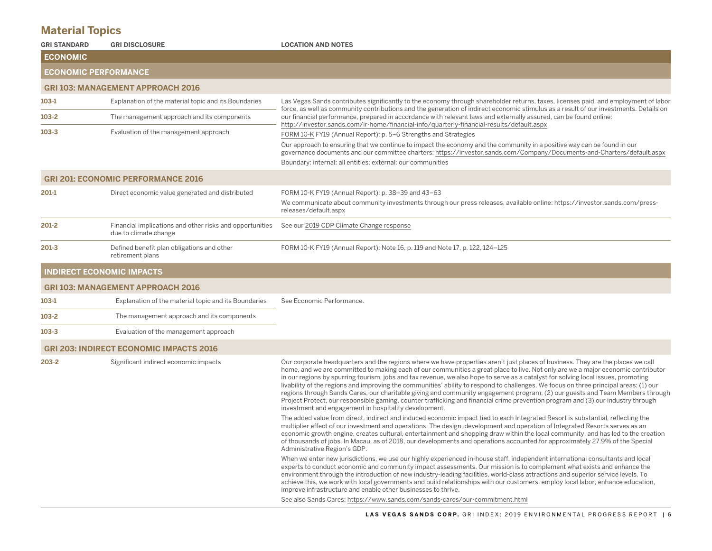# **Material Topics**

| <b>GRI STANDARD</b>         | <b>GRI DISCLOSURE</b>                                                             | <b>LOCATION AND NOTES</b>                                                                                                                                                                                                                                                                                                                                                                                                                                                                                                                                                                                                                                                                                                                                                                                                                                                      |
|-----------------------------|-----------------------------------------------------------------------------------|--------------------------------------------------------------------------------------------------------------------------------------------------------------------------------------------------------------------------------------------------------------------------------------------------------------------------------------------------------------------------------------------------------------------------------------------------------------------------------------------------------------------------------------------------------------------------------------------------------------------------------------------------------------------------------------------------------------------------------------------------------------------------------------------------------------------------------------------------------------------------------|
| <b>ECONOMIC</b>             |                                                                                   |                                                                                                                                                                                                                                                                                                                                                                                                                                                                                                                                                                                                                                                                                                                                                                                                                                                                                |
| <b>ECONOMIC PERFORMANCE</b> |                                                                                   |                                                                                                                                                                                                                                                                                                                                                                                                                                                                                                                                                                                                                                                                                                                                                                                                                                                                                |
|                             | <b>GRI 103: MANAGEMENT APPROACH 2016</b>                                          |                                                                                                                                                                                                                                                                                                                                                                                                                                                                                                                                                                                                                                                                                                                                                                                                                                                                                |
| 103-1                       | Explanation of the material topic and its Boundaries                              | Las Vegas Sands contributes significantly to the economy through shareholder returns, taxes, licenses paid, and employment of labor<br>force, as well as community contributions and the generation of indirect economic stimulus as a result of our investments. Details on                                                                                                                                                                                                                                                                                                                                                                                                                                                                                                                                                                                                   |
| 103-2                       | The management approach and its components                                        | our financial performance, prepared in accordance with relevant laws and externally assured, can be found online:<br>http://investor.sands.com/ir-home/financial-info/quarterly-financial-results/default.aspx                                                                                                                                                                                                                                                                                                                                                                                                                                                                                                                                                                                                                                                                 |
| 103-3                       | Evaluation of the management approach                                             | FORM 10-K FY19 (Annual Report): p. 5-6 Strengths and Strategies                                                                                                                                                                                                                                                                                                                                                                                                                                                                                                                                                                                                                                                                                                                                                                                                                |
|                             |                                                                                   | Our approach to ensuring that we continue to impact the economy and the community in a positive way can be found in our<br>governance documents and our committee charters: https://investor.sands.com/Company/Documents-and-Charters/default.aspx                                                                                                                                                                                                                                                                                                                                                                                                                                                                                                                                                                                                                             |
|                             |                                                                                   | Boundary: internal: all entities; external: our communities                                                                                                                                                                                                                                                                                                                                                                                                                                                                                                                                                                                                                                                                                                                                                                                                                    |
|                             | <b>GRI 201: ECONOMIC PERFORMANCE 2016</b>                                         |                                                                                                                                                                                                                                                                                                                                                                                                                                                                                                                                                                                                                                                                                                                                                                                                                                                                                |
| 201-1                       | Direct economic value generated and distributed                                   | FORM 10-K FY19 (Annual Report): p. 38-39 and 43-63                                                                                                                                                                                                                                                                                                                                                                                                                                                                                                                                                                                                                                                                                                                                                                                                                             |
|                             |                                                                                   | We communicate about community investments through our press releases, available online: https://investor.sands.com/press-<br>releases/default.aspx                                                                                                                                                                                                                                                                                                                                                                                                                                                                                                                                                                                                                                                                                                                            |
| 201-2                       | Financial implications and other risks and opportunities<br>due to climate change | See our 2019 CDP Climate Change response                                                                                                                                                                                                                                                                                                                                                                                                                                                                                                                                                                                                                                                                                                                                                                                                                                       |
| 201-3                       | Defined benefit plan obligations and other<br>retirement plans                    | FORM 10-K FY19 (Annual Report): Note 16, p. 119 and Note 17, p. 122, 124-125                                                                                                                                                                                                                                                                                                                                                                                                                                                                                                                                                                                                                                                                                                                                                                                                   |
|                             | <b>INDIRECT ECONOMIC IMPACTS</b>                                                  |                                                                                                                                                                                                                                                                                                                                                                                                                                                                                                                                                                                                                                                                                                                                                                                                                                                                                |
|                             | <b>GRI 103: MANAGEMENT APPROACH 2016</b>                                          |                                                                                                                                                                                                                                                                                                                                                                                                                                                                                                                                                                                                                                                                                                                                                                                                                                                                                |
| 103-1                       | Explanation of the material topic and its Boundaries                              | See Economic Performance.                                                                                                                                                                                                                                                                                                                                                                                                                                                                                                                                                                                                                                                                                                                                                                                                                                                      |
| 103-2                       | The management approach and its components                                        |                                                                                                                                                                                                                                                                                                                                                                                                                                                                                                                                                                                                                                                                                                                                                                                                                                                                                |
| 103-3                       | Evaluation of the management approach                                             |                                                                                                                                                                                                                                                                                                                                                                                                                                                                                                                                                                                                                                                                                                                                                                                                                                                                                |
|                             | <b>GRI 203: INDIRECT ECONOMIC IMPACTS 2016</b>                                    |                                                                                                                                                                                                                                                                                                                                                                                                                                                                                                                                                                                                                                                                                                                                                                                                                                                                                |
| 203-2                       | Significant indirect economic impacts                                             | Our corporate headquarters and the regions where we have properties aren't just places of business. They are the places we call<br>home, and we are committed to making each of our communities a great place to live. Not only are we a major economic contributor<br>in our regions by spurring tourism, jobs and tax revenue, we also hope to serve as a catalyst for solving local issues, promoting<br>livability of the regions and improving the communities' ability to respond to challenges. We focus on three principal areas: (1) our<br>regions through Sands Cares, our charitable giving and community engagement program, (2) our guests and Team Members through<br>Project Protect, our responsible gaming, counter trafficking and financial crime prevention program and (3) our industry through<br>investment and engagement in hospitality development. |
|                             |                                                                                   | The added value from direct, indirect and induced economic impact tied to each Integrated Resort is substantial, reflecting the<br>multiplier effect of our investment and operations. The design, development and operation of Integrated Resorts serves as an<br>economic growth engine, creates cultural, entertainment and shopping draw within the local community, and has led to the creation<br>of thousands of jobs. In Macau, as of 2018, our developments and operations accounted for approximately 27.9% of the Special<br>Administrative Region's GDP.                                                                                                                                                                                                                                                                                                           |
|                             |                                                                                   | When we enter new jurisdictions, we use our highly experienced in-house staff, independent international consultants and local<br>experts to conduct economic and community impact assessments. Our mission is to complement what exists and enhance the<br>environment through the introduction of new industry-leading facilities, world-class attractions and superior service levels. To<br>achieve this, we work with local governments and build relationships with our customers, employ local labor, enhance education,<br>improve infrastructure and enable other businesses to thrive.                                                                                                                                                                                                                                                                               |
|                             |                                                                                   | See also Sands Cares: https://www.sands.com/sands-cares/our-commitment.html                                                                                                                                                                                                                                                                                                                                                                                                                                                                                                                                                                                                                                                                                                                                                                                                    |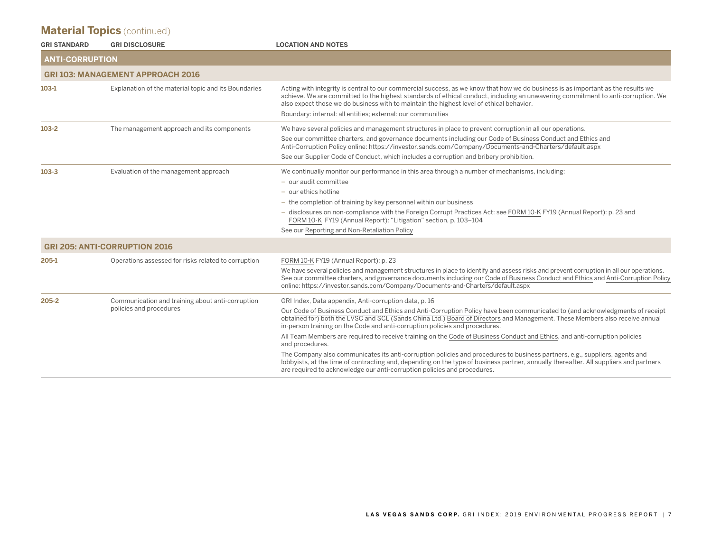| <b>GRI STANDARD</b>    | <b>GRI DISCLOSURE</b>                                                       | <b>LOCATION AND NOTES</b>                                                                                                                                                                                                                                                                                                                                                                                                                                                                                                                                                                                                                                                                                                                                                                                                                                                                                |
|------------------------|-----------------------------------------------------------------------------|----------------------------------------------------------------------------------------------------------------------------------------------------------------------------------------------------------------------------------------------------------------------------------------------------------------------------------------------------------------------------------------------------------------------------------------------------------------------------------------------------------------------------------------------------------------------------------------------------------------------------------------------------------------------------------------------------------------------------------------------------------------------------------------------------------------------------------------------------------------------------------------------------------|
| <b>ANTI-CORRUPTION</b> |                                                                             |                                                                                                                                                                                                                                                                                                                                                                                                                                                                                                                                                                                                                                                                                                                                                                                                                                                                                                          |
|                        | <b>GRI 103: MANAGEMENT APPROACH 2016</b>                                    |                                                                                                                                                                                                                                                                                                                                                                                                                                                                                                                                                                                                                                                                                                                                                                                                                                                                                                          |
| $103-1$                | Explanation of the material topic and its Boundaries                        | Acting with integrity is central to our commercial success, as we know that how we do business is as important as the results we<br>achieve. We are committed to the highest standards of ethical conduct, including an unwavering commitment to anti-corruption. We<br>also expect those we do business with to maintain the highest level of ethical behavior.<br>Boundary: internal: all entities; external: our communities                                                                                                                                                                                                                                                                                                                                                                                                                                                                          |
| $103-2$                | The management approach and its components                                  | We have several policies and management structures in place to prevent corruption in all our operations.<br>See our committee charters, and governance documents including our Code of Business Conduct and Ethics and<br>Anti-Corruption Policy online: https://investor.sands.com/Company/Documents-and-Charters/default.aspx<br>See our Supplier Code of Conduct, which includes a corruption and bribery prohibition.                                                                                                                                                                                                                                                                                                                                                                                                                                                                                |
| $103 - 3$              | Evaluation of the management approach                                       | We continually monitor our performance in this area through a number of mechanisms, including:<br>- our audit committee<br>- our ethics hotline<br>- the completion of training by key personnel within our business<br>- disclosures on non-compliance with the Foreign Corrupt Practices Act: see FORM 10-K FY19 (Annual Report): p. 23 and<br>FORM 10-K FY19 (Annual Report): "Litigation" section, p. 103-104<br>See our Reporting and Non-Retaliation Policy                                                                                                                                                                                                                                                                                                                                                                                                                                        |
|                        | <b>GRI 205: ANTI-CORRUPTION 2016</b>                                        |                                                                                                                                                                                                                                                                                                                                                                                                                                                                                                                                                                                                                                                                                                                                                                                                                                                                                                          |
| 205-1                  | Operations assessed for risks related to corruption                         | FORM 10-K FY19 (Annual Report): p. 23<br>We have several policies and management structures in place to identify and assess risks and prevent corruption in all our operations.<br>See our committee charters, and governance documents including our Code of Business Conduct and Ethics and Anti-Corruption Policy<br>online: https://investor.sands.com/Company/Documents-and-Charters/default.aspx                                                                                                                                                                                                                                                                                                                                                                                                                                                                                                   |
| $205 - 2$              | Communication and training about anti-corruption<br>policies and procedures | GRI Index, Data appendix, Anti-corruption data, p. 16<br>Our Code of Business Conduct and Ethics and Anti-Corruption Policy have been communicated to (and acknowledgments of receipt<br>obtained for) both the LVSC and SCL (Sands China Ltd.) Board of Directors and Management. These Members also receive annual<br>in-person training on the Code and anti-corruption policies and procedures.<br>All Team Members are required to receive training on the Code of Business Conduct and Ethics, and anti-corruption policies<br>and procedures.<br>The Company also communicates its anti-corruption policies and procedures to business partners, e.g., suppliers, agents and<br>lobbyists, at the time of contracting and, depending on the type of business partner, annually thereafter. All suppliers and partners<br>are required to acknowledge our anti-corruption policies and procedures. |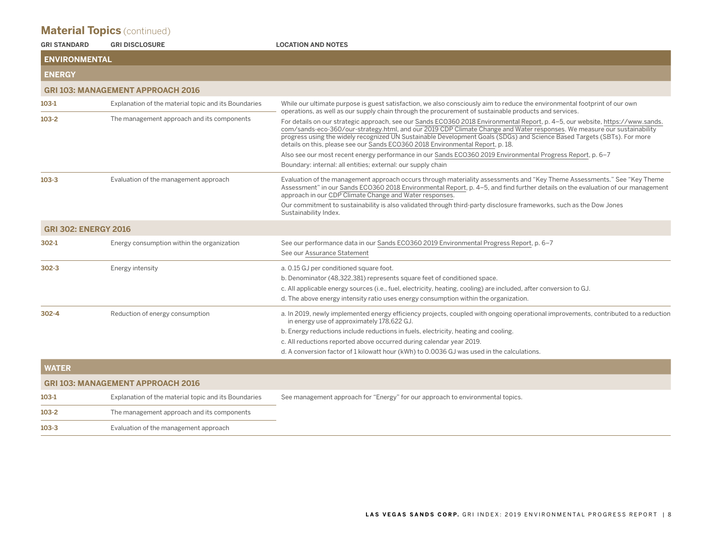| <b>GRI STANDARD</b>         | <b>GRI DISCLOSURE</b>                                | <b>LOCATION AND NOTES</b>                                                                                                                                                                                                                                                                                                                                                                                                                                              |
|-----------------------------|------------------------------------------------------|------------------------------------------------------------------------------------------------------------------------------------------------------------------------------------------------------------------------------------------------------------------------------------------------------------------------------------------------------------------------------------------------------------------------------------------------------------------------|
| <b>ENVIRONMENTAL</b>        |                                                      |                                                                                                                                                                                                                                                                                                                                                                                                                                                                        |
| <b>ENERGY</b>               |                                                      |                                                                                                                                                                                                                                                                                                                                                                                                                                                                        |
|                             | <b>GRI 103: MANAGEMENT APPROACH 2016</b>             |                                                                                                                                                                                                                                                                                                                                                                                                                                                                        |
| $103-1$                     | Explanation of the material topic and its Boundaries | While our ultimate purpose is guest satisfaction, we also consciously aim to reduce the environmental footprint of our own<br>operations, as well as our supply chain through the procurement of sustainable products and services.                                                                                                                                                                                                                                    |
| $103-2$                     | The management approach and its components           | For details on our strategic approach, see our Sands ECO360 2018 Environmental Report, p. 4-5, our website, https://www.sands.<br>com/sands-eco-360/our-strategy.html, and our 2019 CDP Climate Change and Water responses. We measure our sustainability<br>progress using the widely recognized UN Sustainable Development Goals (SDGs) and Science Based Targets (SBTs). For more<br>details on this, please see our Sands ECO360 2018 Environmental Report, p. 18. |
|                             |                                                      | Also see our most recent energy performance in our Sands ECO360 2019 Environmental Progress Report, p. 6–7                                                                                                                                                                                                                                                                                                                                                             |
|                             |                                                      | Boundary: internal: all entities; external: our supply chain                                                                                                                                                                                                                                                                                                                                                                                                           |
| $103 - 3$                   | Evaluation of the management approach                | Evaluation of the management approach occurs through materiality assessments and "Key Theme Assessments." See "Key Theme<br>Assessment" in our Sands ECO360 2018 Environmental Report, p. 4–5, and find further details on the evaluation of our management<br>approach in our CDP Climate Change and Water responses.                                                                                                                                                 |
|                             |                                                      | Our commitment to sustainability is also validated through third-party disclosure frameworks, such as the Dow Jones<br>Sustainability Index.                                                                                                                                                                                                                                                                                                                           |
| <b>GRI 302: ENERGY 2016</b> |                                                      |                                                                                                                                                                                                                                                                                                                                                                                                                                                                        |
| 302-1                       | Energy consumption within the organization           | See our performance data in our Sands ECO360 2019 Environmental Progress Report, p. 6–7<br>See our Assurance Statement                                                                                                                                                                                                                                                                                                                                                 |
| $302 - 3$                   | Energy intensity                                     | a. 0.15 GJ per conditioned square foot.                                                                                                                                                                                                                                                                                                                                                                                                                                |
|                             |                                                      | b. Denominator (48,322,381) represents square feet of conditioned space.                                                                                                                                                                                                                                                                                                                                                                                               |
|                             |                                                      | c. All applicable energy sources (i.e., fuel, electricity, heating, cooling) are included, after conversion to GJ.                                                                                                                                                                                                                                                                                                                                                     |
|                             |                                                      | d. The above energy intensity ratio uses energy consumption within the organization.                                                                                                                                                                                                                                                                                                                                                                                   |
| $302 - 4$                   | Reduction of energy consumption                      | a. In 2019, newly implemented energy efficiency projects, coupled with ongoing operational improvements, contributed to a reduction<br>in energy use of approximately 178,622 GJ.                                                                                                                                                                                                                                                                                      |
|                             |                                                      | b. Energy reductions include reductions in fuels, electricity, heating and cooling.                                                                                                                                                                                                                                                                                                                                                                                    |
|                             |                                                      | c. All reductions reported above occurred during calendar year 2019.                                                                                                                                                                                                                                                                                                                                                                                                   |
|                             |                                                      | d. A conversion factor of 1 kilowatt hour (kWh) to 0.0036 GJ was used in the calculations.                                                                                                                                                                                                                                                                                                                                                                             |
| <b>WATER</b>                |                                                      |                                                                                                                                                                                                                                                                                                                                                                                                                                                                        |
|                             | <b>GRI 103: MANAGEMENT APPROACH 2016</b>             |                                                                                                                                                                                                                                                                                                                                                                                                                                                                        |
| 103-1                       | Explanation of the material topic and its Boundaries | See management approach for "Energy" for our approach to environmental topics.                                                                                                                                                                                                                                                                                                                                                                                         |
| $103-2$                     | The management approach and its components           |                                                                                                                                                                                                                                                                                                                                                                                                                                                                        |
| $103 - 3$                   | Evaluation of the management approach                |                                                                                                                                                                                                                                                                                                                                                                                                                                                                        |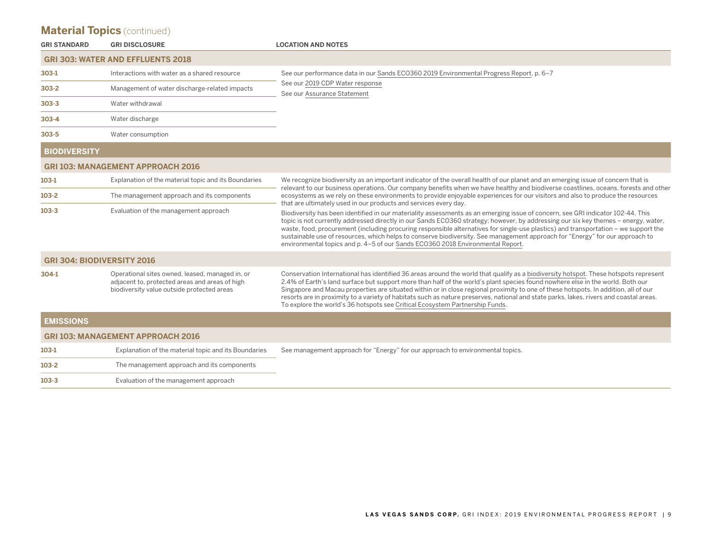| <b>GRI STANDARD</b> | <b>GRI DISCLOSURE</b>                                                                                                                           | <b>LOCATION AND NOTES</b>                                                                                                                                                                                                                                                                                                                                                                                                                                                                                                                                                                                                               |
|---------------------|-------------------------------------------------------------------------------------------------------------------------------------------------|-----------------------------------------------------------------------------------------------------------------------------------------------------------------------------------------------------------------------------------------------------------------------------------------------------------------------------------------------------------------------------------------------------------------------------------------------------------------------------------------------------------------------------------------------------------------------------------------------------------------------------------------|
|                     | <b>GRI 303: WATER AND EFFLUENTS 2018</b>                                                                                                        |                                                                                                                                                                                                                                                                                                                                                                                                                                                                                                                                                                                                                                         |
| $303-1$             | Interactions with water as a shared resource                                                                                                    | See our performance data in our Sands ECO360 2019 Environmental Progress Report, p. 6-7<br>See our 2019 CDP Water response<br>See our Assurance Statement                                                                                                                                                                                                                                                                                                                                                                                                                                                                               |
| $303 - 2$           | Management of water discharge-related impacts                                                                                                   |                                                                                                                                                                                                                                                                                                                                                                                                                                                                                                                                                                                                                                         |
| $303 - 3$           | Water withdrawal                                                                                                                                |                                                                                                                                                                                                                                                                                                                                                                                                                                                                                                                                                                                                                                         |
| $303 - 4$           | Water discharge                                                                                                                                 |                                                                                                                                                                                                                                                                                                                                                                                                                                                                                                                                                                                                                                         |
| $303 - 5$           | Water consumption                                                                                                                               |                                                                                                                                                                                                                                                                                                                                                                                                                                                                                                                                                                                                                                         |
| <b>BIODIVERSITY</b> |                                                                                                                                                 |                                                                                                                                                                                                                                                                                                                                                                                                                                                                                                                                                                                                                                         |
|                     | <b>GRI 103: MANAGEMENT APPROACH 2016</b>                                                                                                        |                                                                                                                                                                                                                                                                                                                                                                                                                                                                                                                                                                                                                                         |
| $103-1$             | Explanation of the material topic and its Boundaries                                                                                            | We recognize biodiversity as an important indicator of the overall health of our planet and an emerging issue of concern that is<br>relevant to our business operations. Our company benefits when we have healthy and biodiverse coastlines, oceans, forests and other                                                                                                                                                                                                                                                                                                                                                                 |
| $103 - 2$           | The management approach and its components                                                                                                      | ecosystems as we rely on these environments to provide enjoyable experiences for our visitors and also to produce the resources<br>that are ultimately used in our products and services every day.                                                                                                                                                                                                                                                                                                                                                                                                                                     |
| $103 - 3$           | Evaluation of the management approach                                                                                                           | Biodiversity has been identified in our materiality assessments as an emerging issue of concern, see GRI indicator 102-44. This<br>topic is not currently addressed directly in our Sands ECO360 strategy; however, by addressing our six key themes - energy, water,<br>waste, food, procurement (including procuring responsible alternatives for single-use plastics) and transportation – we support the<br>sustainable use of resources, which helps to conserve biodiversity. See management approach for "Energy" for our approach to<br>environmental topics and p. 4-5 of our Sands ECO360 2018 Environmental Report.          |
|                     | <b>GRI 304: BIODIVERSITY 2016</b>                                                                                                               |                                                                                                                                                                                                                                                                                                                                                                                                                                                                                                                                                                                                                                         |
| 304-1               | Operational sites owned, leased, managed in, or<br>adjacent to, protected areas and areas of high<br>biodiversity value outside protected areas | Conservation International has identified 36 areas around the world that qualify as a biodiversity hotspot. These hotspots represent<br>2.4% of Earth's land surface but support more than half of the world's plant species found nowhere else in the world. Both our<br>Singapore and Macau properties are situated within or in close regional proximity to one of these hotspots. In addition, all of our<br>resorts are in proximity to a variety of habitats such as nature preserves, national and state parks, lakes, rivers and coastal areas.<br>To explore the world's 36 hotspots see Critical Ecosystem Partnership Funds. |
| <b>EMISSIONS</b>    |                                                                                                                                                 |                                                                                                                                                                                                                                                                                                                                                                                                                                                                                                                                                                                                                                         |
|                     | <b>GRI 103: MANAGEMENT APPROACH 2016</b>                                                                                                        |                                                                                                                                                                                                                                                                                                                                                                                                                                                                                                                                                                                                                                         |
| 103-1               | Explanation of the material topic and its Boundaries                                                                                            | See management approach for "Energy" for our approach to environmental topics.                                                                                                                                                                                                                                                                                                                                                                                                                                                                                                                                                          |
| $103-2$             | The management approach and its components                                                                                                      |                                                                                                                                                                                                                                                                                                                                                                                                                                                                                                                                                                                                                                         |
|                     |                                                                                                                                                 |                                                                                                                                                                                                                                                                                                                                                                                                                                                                                                                                                                                                                                         |

**103-3** Evaluation of the management approach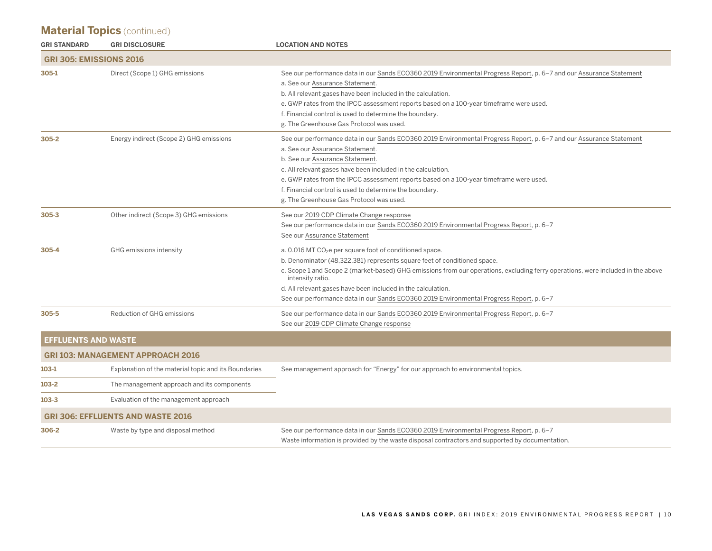| <b>GRI STANDARD</b>            | <b>GRI DISCLOSURE</b>                                | <b>LOCATION AND NOTES</b>                                                                                                                                                                                                                                                                                                                                                                                                                                  |
|--------------------------------|------------------------------------------------------|------------------------------------------------------------------------------------------------------------------------------------------------------------------------------------------------------------------------------------------------------------------------------------------------------------------------------------------------------------------------------------------------------------------------------------------------------------|
| <b>GRI 305: EMISSIONS 2016</b> |                                                      |                                                                                                                                                                                                                                                                                                                                                                                                                                                            |
| 305-1                          | Direct (Scope 1) GHG emissions                       | See our performance data in our Sands ECO360 2019 Environmental Progress Report, p. 6–7 and our Assurance Statement<br>a. See our Assurance Statement.<br>b. All relevant gases have been included in the calculation.<br>e. GWP rates from the IPCC assessment reports based on a 100-year timeframe were used.<br>f. Financial control is used to determine the boundary.<br>g. The Greenhouse Gas Protocol was used.                                    |
| $305 - 2$                      | Energy indirect (Scope 2) GHG emissions              | See our performance data in our Sands ECO360 2019 Environmental Progress Report, p. 6–7 and our Assurance Statement<br>a. See our Assurance Statement.<br>b. See our Assurance Statement.<br>c. All relevant gases have been included in the calculation.<br>e. GWP rates from the IPCC assessment reports based on a 100-year timeframe were used.<br>f. Financial control is used to determine the boundary.<br>g. The Greenhouse Gas Protocol was used. |
| $305 - 3$                      | Other indirect (Scope 3) GHG emissions               | See our 2019 CDP Climate Change response<br>See our performance data in our Sands ECO360 2019 Environmental Progress Report, p. 6-7<br>See our Assurance Statement                                                                                                                                                                                                                                                                                         |
| $305 - 4$                      | GHG emissions intensity                              | a. 0.016 MT $CO2e$ per square foot of conditioned space.<br>b. Denominator (48,322,381) represents square feet of conditioned space.<br>c. Scope 1 and Scope 2 (market-based) GHG emissions from our operations, excluding ferry operations, were included in the above<br>intensity ratio.<br>d. All relevant gases have been included in the calculation.<br>See our performance data in our Sands ECO360 2019 Environmental Progress Report, p. 6-7     |
| 305-5                          | Reduction of GHG emissions                           | See our performance data in our Sands ECO360 2019 Environmental Progress Report, p. 6-7<br>See our 2019 CDP Climate Change response                                                                                                                                                                                                                                                                                                                        |
| <b>EFFLUENTS AND WASTE</b>     |                                                      |                                                                                                                                                                                                                                                                                                                                                                                                                                                            |
|                                | <b>GRI 103: MANAGEMENT APPROACH 2016</b>             |                                                                                                                                                                                                                                                                                                                                                                                                                                                            |
| 103-1                          | Explanation of the material topic and its Boundaries | See management approach for "Energy" for our approach to environmental topics.                                                                                                                                                                                                                                                                                                                                                                             |
| $103 - 2$                      | The management approach and its components           |                                                                                                                                                                                                                                                                                                                                                                                                                                                            |
| $103 - 3$                      | Evaluation of the management approach                |                                                                                                                                                                                                                                                                                                                                                                                                                                                            |
|                                | <b>GRI 306: EFFLUENTS AND WASTE 2016</b>             |                                                                                                                                                                                                                                                                                                                                                                                                                                                            |
| 306-2                          | Waste by type and disposal method                    | See our performance data in our Sands ECO360 2019 Environmental Progress Report, p. 6-7<br>Waste information is provided by the waste disposal contractors and supported by documentation.                                                                                                                                                                                                                                                                 |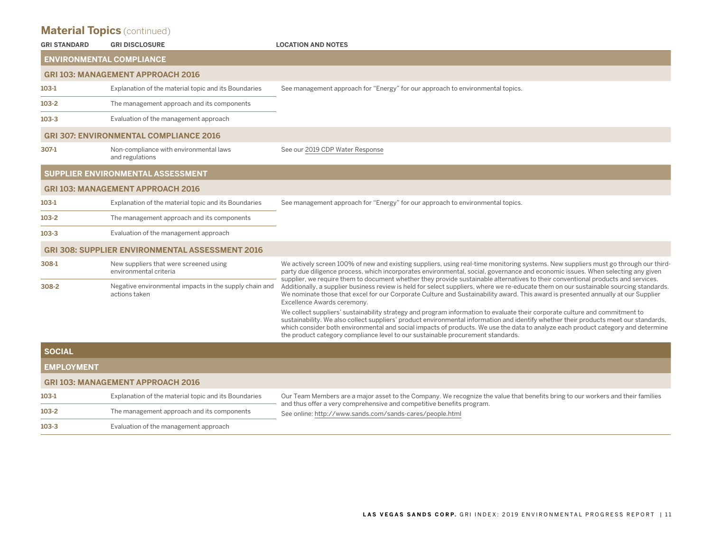| <b>GRI STANDARD</b> | <b>GRI DISCLOSURE</b>                                                   | <b>LOCATION AND NOTES</b>                                                                                                                                                                                                                                                                                                                                                                                                                                                                  |
|---------------------|-------------------------------------------------------------------------|--------------------------------------------------------------------------------------------------------------------------------------------------------------------------------------------------------------------------------------------------------------------------------------------------------------------------------------------------------------------------------------------------------------------------------------------------------------------------------------------|
|                     | <b>ENVIRONMENTAL COMPLIANCE</b>                                         |                                                                                                                                                                                                                                                                                                                                                                                                                                                                                            |
|                     | <b>GRI 103: MANAGEMENT APPROACH 2016</b>                                |                                                                                                                                                                                                                                                                                                                                                                                                                                                                                            |
| 103-1               | Explanation of the material topic and its Boundaries                    | See management approach for "Energy" for our approach to environmental topics.                                                                                                                                                                                                                                                                                                                                                                                                             |
| $103-2$             | The management approach and its components                              |                                                                                                                                                                                                                                                                                                                                                                                                                                                                                            |
| $103 - 3$           | Evaluation of the management approach                                   |                                                                                                                                                                                                                                                                                                                                                                                                                                                                                            |
|                     | <b>GRI 307: ENVIRONMENTAL COMPLIANCE 2016</b>                           |                                                                                                                                                                                                                                                                                                                                                                                                                                                                                            |
| 307-1               | Non-compliance with environmental laws<br>and regulations               | See our 2019 CDP Water Response                                                                                                                                                                                                                                                                                                                                                                                                                                                            |
|                     | SUPPLIER ENVIRONMENTAL ASSESSMENT                                       |                                                                                                                                                                                                                                                                                                                                                                                                                                                                                            |
|                     | <b>GRI 103: MANAGEMENT APPROACH 2016</b>                                |                                                                                                                                                                                                                                                                                                                                                                                                                                                                                            |
| $103-1$             | Explanation of the material topic and its Boundaries                    | See management approach for "Energy" for our approach to environmental topics.                                                                                                                                                                                                                                                                                                                                                                                                             |
| $103 - 2$           | The management approach and its components                              |                                                                                                                                                                                                                                                                                                                                                                                                                                                                                            |
| $103 - 3$           | Evaluation of the management approach                                   |                                                                                                                                                                                                                                                                                                                                                                                                                                                                                            |
|                     | <b>GRI 308: SUPPLIER ENVIRONMENTAL ASSESSMENT 2016</b>                  |                                                                                                                                                                                                                                                                                                                                                                                                                                                                                            |
| 308-1               | New suppliers that were screened using<br>environmental criteria        | We actively screen 100% of new and existing suppliers, using real-time monitoring systems. New suppliers must go through our third-<br>party due diligence process, which incorporates environmental, social, governance and economic issues. When selecting any given                                                                                                                                                                                                                     |
| 308-2               | Negative environmental impacts in the supply chain and<br>actions taken | supplier, we require them to document whether they provide sustainable alternatives to their conventional products and services.<br>Additionally, a supplier business review is held for select suppliers, where we re-educate them on our sustainable sourcing standards.<br>We nominate those that excel for our Corporate Culture and Sustainability award. This award is presented annually at our Supplier<br>Excellence Awards ceremony.                                             |
|                     |                                                                         | We collect suppliers' sustainability strategy and program information to evaluate their corporate culture and commitment to<br>sustainability. We also collect suppliers' product environmental information and identify whether their products meet our standards,<br>which consider both environmental and social impacts of products. We use the data to analyze each product category and determine<br>the product category compliance level to our sustainable procurement standards. |
| <b>SOCIAL</b>       |                                                                         |                                                                                                                                                                                                                                                                                                                                                                                                                                                                                            |
| <b>EMPLOYMENT</b>   |                                                                         |                                                                                                                                                                                                                                                                                                                                                                                                                                                                                            |
|                     | <b>GRI 103: MANAGEMENT APPROACH 2016</b>                                |                                                                                                                                                                                                                                                                                                                                                                                                                                                                                            |

| 103-1     | Explanation of the material topic and its Boundaries | Our Team Members are a major asset to the Company. We recognize the value that benefits bring to our workers and their families<br>and thus offer a very comprehensive and competitive benefits program.<br>See online: http://www.sands.com/sands-cares/people.html |
|-----------|------------------------------------------------------|----------------------------------------------------------------------------------------------------------------------------------------------------------------------------------------------------------------------------------------------------------------------|
| 103-2     | The management approach and its components           |                                                                                                                                                                                                                                                                      |
| $103 - 3$ | Evaluation of the management approach                |                                                                                                                                                                                                                                                                      |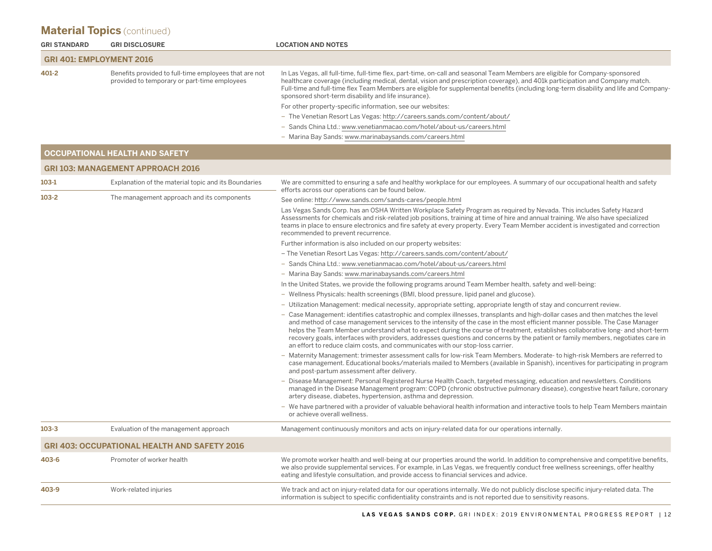| <b>GRI STANDARD</b>             | <b>GRI DISCLOSURE</b>                                                                                 | <b>LOCATION AND NOTES</b>                                                                                                                                                                                                                                                                                                                                                                                                                                                                                                                                                                                            |
|---------------------------------|-------------------------------------------------------------------------------------------------------|----------------------------------------------------------------------------------------------------------------------------------------------------------------------------------------------------------------------------------------------------------------------------------------------------------------------------------------------------------------------------------------------------------------------------------------------------------------------------------------------------------------------------------------------------------------------------------------------------------------------|
| <b>GRI 401: EMPLOYMENT 2016</b> |                                                                                                       |                                                                                                                                                                                                                                                                                                                                                                                                                                                                                                                                                                                                                      |
| 401-2                           | Benefits provided to full-time employees that are not<br>provided to temporary or part-time employees | In Las Vegas, all full-time, full-time flex, part-time, on-call and seasonal Team Members are eligible for Company-sponsored<br>healthcare coverage (including medical, dental, vision and prescription coverage), and 401k participation and Company match.<br>Full-time and full-time flex Team Members are eligible for supplemental benefits (including long-term disability and life and Company-<br>sponsored short-term disability and life insurance).                                                                                                                                                       |
|                                 |                                                                                                       | For other property-specific information, see our websites:                                                                                                                                                                                                                                                                                                                                                                                                                                                                                                                                                           |
|                                 |                                                                                                       | - The Venetian Resort Las Vegas: http://careers.sands.com/content/about/                                                                                                                                                                                                                                                                                                                                                                                                                                                                                                                                             |
|                                 |                                                                                                       | - Sands China Ltd.: www.venetianmacao.com/hotel/about-us/careers.html                                                                                                                                                                                                                                                                                                                                                                                                                                                                                                                                                |
|                                 |                                                                                                       | - Marina Bay Sands: www.marinabaysands.com/careers.html                                                                                                                                                                                                                                                                                                                                                                                                                                                                                                                                                              |
|                                 | <b>OCCUPATIONAL HEALTH AND SAFETY</b>                                                                 |                                                                                                                                                                                                                                                                                                                                                                                                                                                                                                                                                                                                                      |
|                                 | <b>GRI 103: MANAGEMENT APPROACH 2016</b>                                                              |                                                                                                                                                                                                                                                                                                                                                                                                                                                                                                                                                                                                                      |
| 103-1                           | Explanation of the material topic and its Boundaries                                                  | We are committed to ensuring a safe and healthy workplace for our employees. A summary of our occupational health and safety<br>efforts across our operations can be found below.                                                                                                                                                                                                                                                                                                                                                                                                                                    |
| $103 - 2$                       | The management approach and its components                                                            | See online: http://www.sands.com/sands-cares/people.html                                                                                                                                                                                                                                                                                                                                                                                                                                                                                                                                                             |
|                                 |                                                                                                       | Las Vegas Sands Corp. has an OSHA Written Workplace Safety Program as required by Nevada. This includes Safety Hazard<br>Assessments for chemicals and risk-related job positions, training at time of hire and annual training. We also have specialized<br>teams in place to ensure electronics and fire safety at every property. Every Team Member accident is investigated and correction<br>recommended to prevent recurrence.                                                                                                                                                                                 |
|                                 |                                                                                                       | Further information is also included on our property websites:                                                                                                                                                                                                                                                                                                                                                                                                                                                                                                                                                       |
|                                 |                                                                                                       | - The Venetian Resort Las Vegas: http://careers.sands.com/content/about/                                                                                                                                                                                                                                                                                                                                                                                                                                                                                                                                             |
|                                 |                                                                                                       | - Sands China Ltd.: www.venetianmacao.com/hotel/about-us/careers.html                                                                                                                                                                                                                                                                                                                                                                                                                                                                                                                                                |
|                                 |                                                                                                       | - Marina Bay Sands: www.marinabaysands.com/careers.html                                                                                                                                                                                                                                                                                                                                                                                                                                                                                                                                                              |
|                                 |                                                                                                       | In the United States, we provide the following programs around Team Member health, safety and well-being:                                                                                                                                                                                                                                                                                                                                                                                                                                                                                                            |
|                                 |                                                                                                       | - Wellness Physicals: health screenings (BMI, blood pressure, lipid panel and glucose).                                                                                                                                                                                                                                                                                                                                                                                                                                                                                                                              |
|                                 |                                                                                                       | - Utilization Management: medical necessity, appropriate setting, appropriate length of stay and concurrent review.                                                                                                                                                                                                                                                                                                                                                                                                                                                                                                  |
|                                 |                                                                                                       | - Case Management: identifies catastrophic and complex illnesses, transplants and high-dollar cases and then matches the level<br>and method of case management services to the intensity of the case in the most efficient manner possible. The Case Manager<br>helps the Team Member understand what to expect during the course of treatment, establishes collaborative long- and short-term<br>recovery goals, interfaces with providers, addresses questions and concerns by the patient or family members, negotiates care in<br>an effort to reduce claim costs, and communicates with our stop-loss carrier. |
|                                 |                                                                                                       | - Maternity Management: trimester assessment calls for low-risk Team Members. Moderate- to high-risk Members are referred to<br>case management. Educational books/materials mailed to Members (available in Spanish), incentives for participating in program<br>and post-partum assessment after delivery.                                                                                                                                                                                                                                                                                                         |
|                                 |                                                                                                       | - Disease Management: Personal Registered Nurse Health Coach, targeted messaging, education and newsletters. Conditions<br>managed in the Disease Management program: COPD (chronic obstructive pulmonary disease), congestive heart failure, coronary<br>artery disease, diabetes, hypertension, asthma and depression.                                                                                                                                                                                                                                                                                             |
|                                 |                                                                                                       | - We have partnered with a provider of valuable behavioral health information and interactive tools to help Team Members maintain<br>or achieve overall wellness.                                                                                                                                                                                                                                                                                                                                                                                                                                                    |
| 103-3                           | Evaluation of the management approach                                                                 | Management continuously monitors and acts on injury-related data for our operations internally.                                                                                                                                                                                                                                                                                                                                                                                                                                                                                                                      |
|                                 | <b>GRI 403: OCCUPATIONAL HEALTH AND SAFETY 2016</b>                                                   |                                                                                                                                                                                                                                                                                                                                                                                                                                                                                                                                                                                                                      |
| 403-6                           | Promoter of worker health                                                                             | We promote worker health and well-being at our properties around the world. In addition to comprehensive and competitive benefits,<br>we also provide supplemental services. For example, in Las Vegas, we frequently conduct free wellness screenings, offer healthy<br>eating and lifestyle consultation, and provide access to financial services and advice.                                                                                                                                                                                                                                                     |
| 403-9                           | Work-related injuries                                                                                 | We track and act on injury-related data for our operations internally. We do not publicly disclose specific injury-related data. The<br>information is subject to specific confidentiality constraints and is not reported due to sensitivity reasons.                                                                                                                                                                                                                                                                                                                                                               |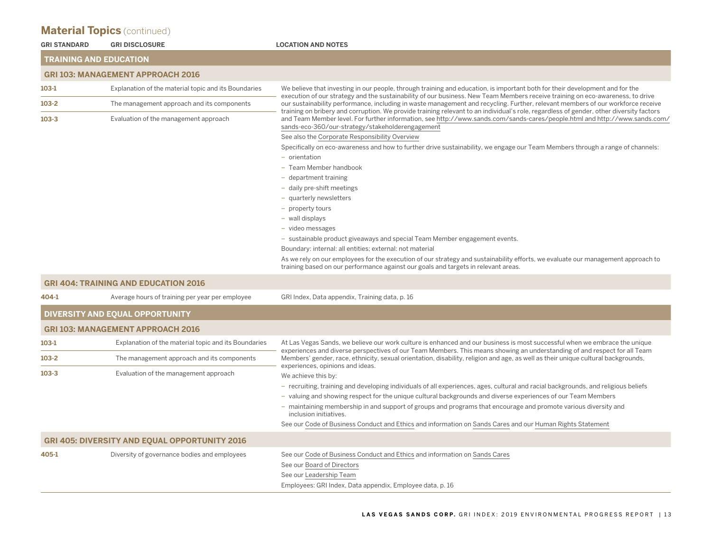|                     | <b>Material Topics</b> (continued)                   |                                                                                                                                                                                                                                                                                                                                                                                                              |  |  |  |  |
|---------------------|------------------------------------------------------|--------------------------------------------------------------------------------------------------------------------------------------------------------------------------------------------------------------------------------------------------------------------------------------------------------------------------------------------------------------------------------------------------------------|--|--|--|--|
| <b>GRI STANDARD</b> | <b>GRI DISCLOSURE</b>                                | <b>LOCATION AND NOTES</b>                                                                                                                                                                                                                                                                                                                                                                                    |  |  |  |  |
|                     | <b>TRAINING AND EDUCATION</b>                        |                                                                                                                                                                                                                                                                                                                                                                                                              |  |  |  |  |
|                     | <b>GRI 103: MANAGEMENT APPROACH 2016</b>             |                                                                                                                                                                                                                                                                                                                                                                                                              |  |  |  |  |
| 103-1               | Explanation of the material topic and its Boundaries | We believe that investing in our people, through training and education, is important both for their development and for the                                                                                                                                                                                                                                                                                 |  |  |  |  |
| $103-2$             | The management approach and its components           | execution of our strategy and the sustainability of our business. New Team Members receive training on eco-awareness, to drive<br>our sustainability performance, including in waste management and recycling. Further, relevant members of our workforce receive<br>training on bribery and corruption. We provide training relevant to an individual's role, regardless of gender, other diversity factors |  |  |  |  |
| $103 - 3$           | Evaluation of the management approach                | and Team Member level. For further information, see http://www.sands.com/sands-cares/people.html and http://www.sands.com/<br>sands-eco-360/our-strategy/stakeholderengagement                                                                                                                                                                                                                               |  |  |  |  |
|                     |                                                      | See also the Corporate Responsibility Overview                                                                                                                                                                                                                                                                                                                                                               |  |  |  |  |
|                     |                                                      | Specifically on eco-awareness and how to further drive sustainability, we engage our Team Members through a range of channels:                                                                                                                                                                                                                                                                               |  |  |  |  |
|                     |                                                      | - orientation                                                                                                                                                                                                                                                                                                                                                                                                |  |  |  |  |
|                     |                                                      | - Team Member handbook                                                                                                                                                                                                                                                                                                                                                                                       |  |  |  |  |
|                     |                                                      | - department training                                                                                                                                                                                                                                                                                                                                                                                        |  |  |  |  |
|                     |                                                      | - daily pre-shift meetings                                                                                                                                                                                                                                                                                                                                                                                   |  |  |  |  |
|                     |                                                      | - quarterly newsletters                                                                                                                                                                                                                                                                                                                                                                                      |  |  |  |  |
|                     |                                                      | - property tours                                                                                                                                                                                                                                                                                                                                                                                             |  |  |  |  |
|                     |                                                      | - wall displays                                                                                                                                                                                                                                                                                                                                                                                              |  |  |  |  |
|                     |                                                      | - video messages                                                                                                                                                                                                                                                                                                                                                                                             |  |  |  |  |
|                     |                                                      | - sustainable product giveaways and special Team Member engagement events.                                                                                                                                                                                                                                                                                                                                   |  |  |  |  |
|                     |                                                      | Boundary: internal: all entities; external: not material                                                                                                                                                                                                                                                                                                                                                     |  |  |  |  |
|                     |                                                      | As we rely on our employees for the execution of our strategy and sustainability efforts, we evaluate our management approach to<br>training based on our performance against our goals and targets in relevant areas.                                                                                                                                                                                       |  |  |  |  |
|                     | <b>GRI 404: TRAINING AND EDUCATION 2016</b>          |                                                                                                                                                                                                                                                                                                                                                                                                              |  |  |  |  |
| 404-1               | Average hours of training per year per employee      | GRI Index, Data appendix, Training data, p. 16                                                                                                                                                                                                                                                                                                                                                               |  |  |  |  |
|                     | DIVERSITY AND EQUAL OPPORTUNITY                      |                                                                                                                                                                                                                                                                                                                                                                                                              |  |  |  |  |
|                     | <b>GRI 103: MANAGEMENT APPROACH 2016</b>             |                                                                                                                                                                                                                                                                                                                                                                                                              |  |  |  |  |
| 103-1               | Explanation of the material topic and its Boundaries | At Las Vegas Sands, we believe our work culture is enhanced and our business is most successful when we embrace the unique<br>experiences and diverse perspectives of our Team Members. This means showing an understanding of and respect for all Team                                                                                                                                                      |  |  |  |  |
| $103 - 2$           | The management approach and its components           | Members' gender, race, ethnicity, sexual orientation, disability, religion and age, as well as their unique cultural backgrounds,<br>experiences, opinions and ideas.                                                                                                                                                                                                                                        |  |  |  |  |
| $103 - 3$           | Evaluation of the management approach                | We achieve this by:                                                                                                                                                                                                                                                                                                                                                                                          |  |  |  |  |
|                     |                                                      | - recruiting, training and developing individuals of all experiences, ages, cultural and racial backgrounds, and religious beliefs                                                                                                                                                                                                                                                                           |  |  |  |  |
|                     |                                                      | - valuing and showing respect for the unique cultural backgrounds and diverse experiences of our Team Members                                                                                                                                                                                                                                                                                                |  |  |  |  |
|                     |                                                      | - maintaining membership in and support of groups and programs that encourage and promote various diversity and<br>inclusion initiatives.                                                                                                                                                                                                                                                                    |  |  |  |  |
|                     |                                                      | See our Code of Business Conduct and Ethics and information on Sands Cares and our Human Rights Statement                                                                                                                                                                                                                                                                                                    |  |  |  |  |
|                     | <b>GRI 405: DIVERSITY AND EQUAL OPPORTUNITY 2016</b> |                                                                                                                                                                                                                                                                                                                                                                                                              |  |  |  |  |
| 405-1               | Diversity of governance bodies and employees         | See our Code of Business Conduct and Ethics and information on Sands Cares                                                                                                                                                                                                                                                                                                                                   |  |  |  |  |
|                     |                                                      | See our Board of Directors                                                                                                                                                                                                                                                                                                                                                                                   |  |  |  |  |
|                     |                                                      |                                                                                                                                                                                                                                                                                                                                                                                                              |  |  |  |  |

See our [Leadership](https://www.sands.com/corporate-overview/leadership.html) Team Employees: GRI Index, Data appendix, Employee data, p. 16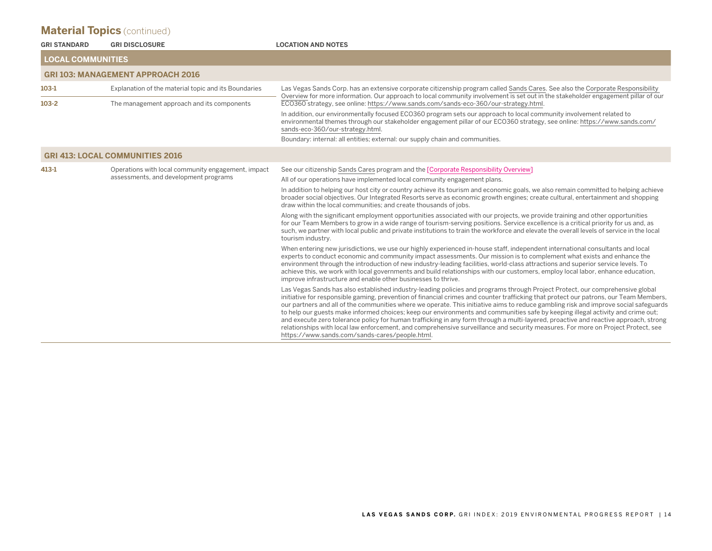| <b>GRI STANDARD</b>      | <b>GRI DISCLOSURE</b>                                                                       | <b>LOCATION AND NOTES</b>                                                                                                                                                                                                                                                                                                                                                                                                                                                                                                                                                                                                                                                                                                                                                                                                                                                       |  |  |  |
|--------------------------|---------------------------------------------------------------------------------------------|---------------------------------------------------------------------------------------------------------------------------------------------------------------------------------------------------------------------------------------------------------------------------------------------------------------------------------------------------------------------------------------------------------------------------------------------------------------------------------------------------------------------------------------------------------------------------------------------------------------------------------------------------------------------------------------------------------------------------------------------------------------------------------------------------------------------------------------------------------------------------------|--|--|--|
| <b>LOCAL COMMUNITIES</b> |                                                                                             |                                                                                                                                                                                                                                                                                                                                                                                                                                                                                                                                                                                                                                                                                                                                                                                                                                                                                 |  |  |  |
|                          | <b>GRI 103: MANAGEMENT APPROACH 2016</b>                                                    |                                                                                                                                                                                                                                                                                                                                                                                                                                                                                                                                                                                                                                                                                                                                                                                                                                                                                 |  |  |  |
| $103-1$                  | Explanation of the material topic and its Boundaries                                        | Las Vegas Sands Corp. has an extensive corporate citizenship program called Sands Cares. See also the Corporate Responsibility<br>Overview for more information. Our approach to local community involvement is set out in the stakeholder engagement pillar of our                                                                                                                                                                                                                                                                                                                                                                                                                                                                                                                                                                                                             |  |  |  |
| $103 - 2$                | The management approach and its components                                                  | ECO360 strategy, see online: https://www.sands.com/sands-eco-360/our-strategy.html.                                                                                                                                                                                                                                                                                                                                                                                                                                                                                                                                                                                                                                                                                                                                                                                             |  |  |  |
|                          |                                                                                             | In addition, our environmentally focused ECO360 program sets our approach to local community involvement related to<br>environmental themes through our stakeholder engagement pillar of our ECO360 strategy, see online: https://www.sands.com/<br>sands-eco-360/our-strategy.html.                                                                                                                                                                                                                                                                                                                                                                                                                                                                                                                                                                                            |  |  |  |
|                          |                                                                                             | Boundary: internal: all entities; external: our supply chain and communities.                                                                                                                                                                                                                                                                                                                                                                                                                                                                                                                                                                                                                                                                                                                                                                                                   |  |  |  |
|                          | <b>GRI 413: LOCAL COMMUNITIES 2016</b>                                                      |                                                                                                                                                                                                                                                                                                                                                                                                                                                                                                                                                                                                                                                                                                                                                                                                                                                                                 |  |  |  |
| 413-1                    | Operations with local community engagement, impact<br>assessments, and development programs | See our citizenship Sands Cares program and the [Corporate Responsibility Overview]                                                                                                                                                                                                                                                                                                                                                                                                                                                                                                                                                                                                                                                                                                                                                                                             |  |  |  |
|                          |                                                                                             | All of our operations have implemented local community engagement plans.                                                                                                                                                                                                                                                                                                                                                                                                                                                                                                                                                                                                                                                                                                                                                                                                        |  |  |  |
|                          |                                                                                             | In addition to helping our host city or country achieve its tourism and economic goals, we also remain committed to helping achieve<br>broader social objectives. Our Integrated Resorts serve as economic growth engines; create cultural, entertainment and shopping<br>draw within the local communities; and create thousands of jobs.                                                                                                                                                                                                                                                                                                                                                                                                                                                                                                                                      |  |  |  |
|                          |                                                                                             | Along with the significant employment opportunities associated with our projects, we provide training and other opportunities<br>for our Team Members to grow in a wide range of tourism-serving positions. Service excellence is a critical priority for us and, as<br>such, we partner with local public and private institutions to train the workforce and elevate the overall levels of service in the local<br>tourism industry.                                                                                                                                                                                                                                                                                                                                                                                                                                          |  |  |  |
|                          |                                                                                             | When entering new jurisdictions, we use our highly experienced in-house staff, independent international consultants and local<br>experts to conduct economic and community impact assessments. Our mission is to complement what exists and enhance the<br>environment through the introduction of new industry-leading facilities, world-class attractions and superior service levels. To<br>achieve this, we work with local governments and build relationships with our customers, employ local labor, enhance education,<br>improve infrastructure and enable other businesses to thrive.                                                                                                                                                                                                                                                                                |  |  |  |
|                          |                                                                                             | Las Vegas Sands has also established industry-leading policies and programs through Project Protect, our comprehensive global<br>initiative for responsible gaming, prevention of financial crimes and counter trafficking that protect our patrons, our Team Members,<br>our partners and all of the communities where we operate. This initiative aims to reduce gambling risk and improve social safeguards<br>to help our guests make informed choices; keep our environments and communities safe by keeping illegal activity and crime out;<br>and execute zero tolerance policy for human trafficking in any form through a multi-layered, proactive and reactive approach, strong<br>relationships with local law enforcement, and comprehensive surveillance and security measures. For more on Project Protect, see<br>https://www.sands.com/sands-cares/people.html. |  |  |  |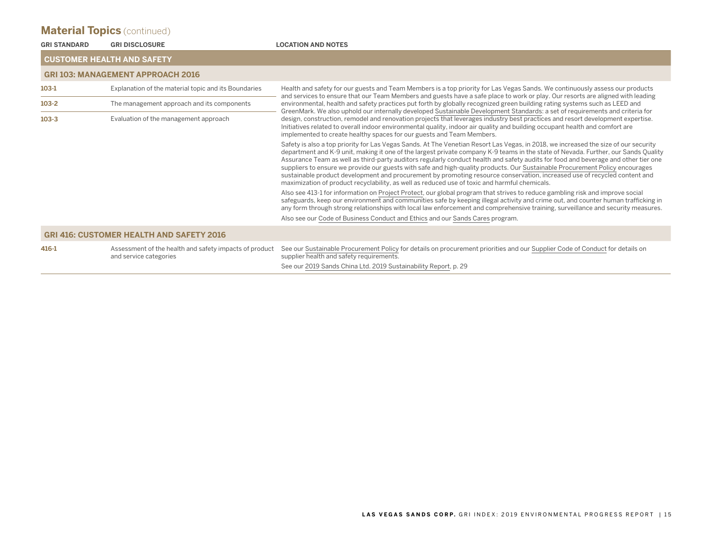| <b>GRI STANDARD</b>               | <b>GRI DISCLOSURE</b>                                                            | <b>LOCATION AND NOTES</b>                                                                                                                                                                                                                                                                                                                                                                                                                                                                                                                                                                                                                                                                                                                                                     |  |  |  |  |
|-----------------------------------|----------------------------------------------------------------------------------|-------------------------------------------------------------------------------------------------------------------------------------------------------------------------------------------------------------------------------------------------------------------------------------------------------------------------------------------------------------------------------------------------------------------------------------------------------------------------------------------------------------------------------------------------------------------------------------------------------------------------------------------------------------------------------------------------------------------------------------------------------------------------------|--|--|--|--|
| <b>CUSTOMER HEALTH AND SAFETY</b> |                                                                                  |                                                                                                                                                                                                                                                                                                                                                                                                                                                                                                                                                                                                                                                                                                                                                                               |  |  |  |  |
|                                   | <b>GRI 103: MANAGEMENT APPROACH 2016</b>                                         |                                                                                                                                                                                                                                                                                                                                                                                                                                                                                                                                                                                                                                                                                                                                                                               |  |  |  |  |
| $103-1$                           | Explanation of the material topic and its Boundaries                             | Health and safety for our guests and Team Members is a top priority for Las Vegas Sands. We continuously assess our products                                                                                                                                                                                                                                                                                                                                                                                                                                                                                                                                                                                                                                                  |  |  |  |  |
| $103 - 2$                         | The management approach and its components                                       | and services to ensure that our Team Members and guests have a safe place to work or play. Our resorts are aligned with leading<br>environmental, health and safety practices put forth by globally recognized green building rating systems such as LEED and                                                                                                                                                                                                                                                                                                                                                                                                                                                                                                                 |  |  |  |  |
| $103 - 3$                         | Evaluation of the management approach                                            | GreenMark. We also uphold our internally developed Sustainable Development Standards: a set of requirements and criteria for<br>design, construction, remodel and renovation projects that leverages industry best practices and resort development expertise.<br>Initiatives related to overall indoor environmental quality, indoor air quality and building occupant health and comfort are<br>implemented to create healthy spaces for our guests and Team Members.                                                                                                                                                                                                                                                                                                       |  |  |  |  |
|                                   |                                                                                  | Safety is also a top priority for Las Vegas Sands. At The Venetian Resort Las Vegas, in 2018, we increased the size of our security<br>department and K-9 unit, making it one of the largest private company K-9 teams in the state of Nevada. Further, our Sands Quality<br>Assurance Team as well as third-party auditors regularly conduct health and safety audits for food and beverage and other tier one<br>suppliers to ensure we provide our guests with safe and high-quality products. Our Sustainable Procurement Policy encourages<br>sustainable product development and procurement by promoting resource conservation, increased use of recycled content and<br>maximization of product recyclability, as well as reduced use of toxic and harmful chemicals. |  |  |  |  |
|                                   |                                                                                  | Also see 413-1 for information on Project Protect, our global program that strives to reduce gambling risk and improve social<br>safeguards, keep our environment and communities safe by keeping illegal activity and crime out, and counter human trafficking in<br>any form through strong relationships with local law enforcement and comprehensive training, surveillance and security measures.                                                                                                                                                                                                                                                                                                                                                                        |  |  |  |  |
|                                   |                                                                                  | Also see our Code of Business Conduct and Ethics and our Sands Cares program.                                                                                                                                                                                                                                                                                                                                                                                                                                                                                                                                                                                                                                                                                                 |  |  |  |  |
|                                   | <b>GRI 416: CUSTOMER HEALTH AND SAFETY 2016</b>                                  |                                                                                                                                                                                                                                                                                                                                                                                                                                                                                                                                                                                                                                                                                                                                                                               |  |  |  |  |
| 416-1                             | Assessment of the health and safety impacts of product<br>and service categories | See our Sustainable Procurement Policy for details on procurement priorities and our Supplier Code of Conduct for details on<br>supplier health and safety requirements.                                                                                                                                                                                                                                                                                                                                                                                                                                                                                                                                                                                                      |  |  |  |  |
|                                   |                                                                                  | See our 2019 Sands China Ltd. 2019 Sustainability Report, p. 29                                                                                                                                                                                                                                                                                                                                                                                                                                                                                                                                                                                                                                                                                                               |  |  |  |  |